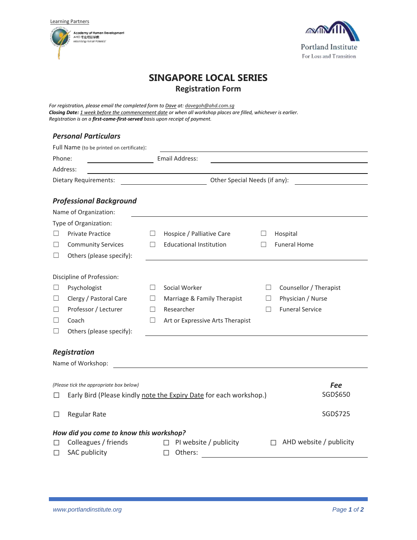Learning Partners





# **SINGAPORE LOCAL SERIES Registration Form**

*For registration, please email the completed form to Dave at: davegoh@ahd.com.sg Closing Date: 1 week before the commencement date or when all workshop places are filled, whichever is earlier. Registration is on a first-come-first-served basis upon receipt of payment.*

## *Personal Particulars*

|                                                                                                               | Full Name (to be printed on certificate): |         |                                  |         |                                   |  |
|---------------------------------------------------------------------------------------------------------------|-------------------------------------------|---------|----------------------------------|---------|-----------------------------------|--|
| Phone:                                                                                                        |                                           |         | Email Address:                   |         |                                   |  |
|                                                                                                               | Address:                                  |         |                                  |         |                                   |  |
| Dietary Requirements:                                                                                         |                                           |         | Other Special Needs (if any):    |         |                                   |  |
|                                                                                                               | <b>Professional Background</b>            |         |                                  |         |                                   |  |
|                                                                                                               | Name of Organization:                     |         |                                  |         |                                   |  |
|                                                                                                               | Type of Organization:                     |         |                                  |         |                                   |  |
| Ш                                                                                                             | <b>Private Practice</b>                   | □       | Hospice / Palliative Care        | ⊔       | Hospital                          |  |
| ш                                                                                                             | <b>Community Services</b>                 | $\Box$  | <b>Educational Institution</b>   | $\Box$  | <b>Funeral Home</b>               |  |
| ш                                                                                                             | Others (please specify):                  |         |                                  |         |                                   |  |
|                                                                                                               | Discipline of Profession:                 |         |                                  |         |                                   |  |
| ш                                                                                                             | Psychologist                              | $\perp$ | Social Worker                    | $\Box$  | Counsellor / Therapist            |  |
| ப                                                                                                             | Clergy / Pastoral Care                    | $\Box$  | Marriage & Family Therapist      | ш       | Physician / Nurse                 |  |
| ш                                                                                                             | Professor / Lecturer                      | $\Box$  | Researcher                       | $\perp$ | <b>Funeral Service</b>            |  |
| ப                                                                                                             | Coach                                     | $\Box$  | Art or Expressive Arts Therapist |         |                                   |  |
|                                                                                                               | Others (please specify):                  |         |                                  |         |                                   |  |
|                                                                                                               |                                           |         |                                  |         |                                   |  |
|                                                                                                               | <b>Registration</b>                       |         |                                  |         |                                   |  |
|                                                                                                               | Name of Workshop:                         |         |                                  |         |                                   |  |
|                                                                                                               |                                           |         |                                  |         |                                   |  |
| (Please tick the appropriate box below)<br>Early Bird (Please kindly note the Expiry Date for each workshop.) |                                           |         |                                  |         | <b>Fee</b><br>SGD\$650            |  |
| $\mathsf{L}$                                                                                                  |                                           |         |                                  |         |                                   |  |
| П                                                                                                             | <b>Regular Rate</b>                       |         |                                  |         | SGD\$725                          |  |
|                                                                                                               | How did you come to know this workshop?   |         |                                  |         |                                   |  |
|                                                                                                               | Colleagues / friends                      |         | PI website / publicity           |         | AHD website / publicity<br>$\Box$ |  |
| П                                                                                                             | <b>SAC publicity</b>                      |         | Others:<br>П                     |         |                                   |  |